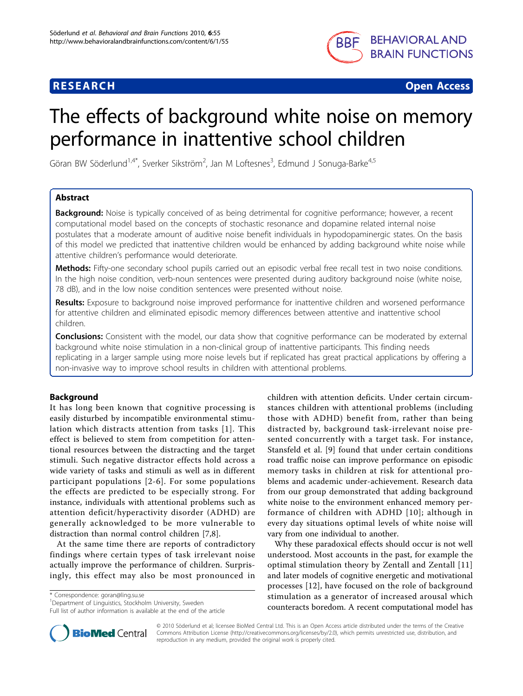## **RESEARCH CONSTRUCTION CONSTRUCTS**



# The effects of background white noise on memory performance in inattentive school children

Göran BW Söderlund<sup>1,4\*</sup>, Sverker Sikström<sup>2</sup>, Jan M Loftesnes<sup>3</sup>, Edmund J Sonuga-Barke<sup>4,5</sup>

## Abstract

**Background:** Noise is typically conceived of as being detrimental for cognitive performance; however, a recent computational model based on the concepts of stochastic resonance and dopamine related internal noise postulates that a moderate amount of auditive noise benefit individuals in hypodopaminergic states. On the basis of this model we predicted that inattentive children would be enhanced by adding background white noise while attentive children's performance would deteriorate.

Methods: Fifty-one secondary school pupils carried out an episodic verbal free recall test in two noise conditions. In the high noise condition, verb-noun sentences were presented during auditory background noise (white noise, 78 dB), and in the low noise condition sentences were presented without noise.

Results: Exposure to background noise improved performance for inattentive children and worsened performance for attentive children and eliminated episodic memory differences between attentive and inattentive school children.

**Conclusions:** Consistent with the model, our data show that cognitive performance can be moderated by external background white noise stimulation in a non-clinical group of inattentive participants. This finding needs replicating in a larger sample using more noise levels but if replicated has great practical applications by offering a non-invasive way to improve school results in children with attentional problems.

## Background

It has long been known that cognitive processing is easily disturbed by incompatible environmental stimulation which distracts attention from tasks [[1](#page-7-0)]. This effect is believed to stem from competition for attentional resources between the distracting and the target stimuli. Such negative distractor effects hold across a wide variety of tasks and stimuli as well as in different participant populations [[2-6](#page-7-0)]. For some populations the effects are predicted to be especially strong. For instance, individuals with attentional problems such as attention deficit/hyperactivity disorder (ADHD) are generally acknowledged to be more vulnerable to distraction than normal control children [[7,8\]](#page-7-0).

At the same time there are reports of contradictory findings where certain types of task irrelevant noise actually improve the performance of children. Surprisingly, this effect may also be most pronounced in

\* Correspondence: [goran@ling.su.se](mailto:goran@ling.su.se)

<sup>1</sup>Department of Linguistics, Stockholm University, Sweden

children with attention deficits. Under certain circumstances children with attentional problems (including those with ADHD) benefit from, rather than being distracted by, background task-irrelevant noise presented concurrently with a target task. For instance, Stansfeld et al. [[9\]](#page-7-0) found that under certain conditions road traffic noise can improve performance on episodic memory tasks in children at risk for attentional problems and academic under-achievement. Research data from our group demonstrated that adding background white noise to the environment enhanced memory performance of children with ADHD [[10\]](#page-7-0); although in every day situations optimal levels of white noise will vary from one individual to another.

Why these paradoxical effects should occur is not well understood. Most accounts in the past, for example the optimal stimulation theory by Zentall and Zentall [[11](#page-7-0)] and later models of cognitive energetic and motivational processes [[12](#page-7-0)], have focused on the role of background stimulation as a generator of increased arousal which counteracts boredom. A recent computational model has



© 2010 Söderlund et al; licensee BioMed Central Ltd. This is an Open Access article distributed under the terms of the Creative Commons Attribution License [\(http://creativecommons.org/licenses/by/2.0](http://creativecommons.org/licenses/by/2.0)), which permits unrestricted use, distribution, and reproduction in any medium, provided the original work is properly cited.

Full list of author information is available at the end of the article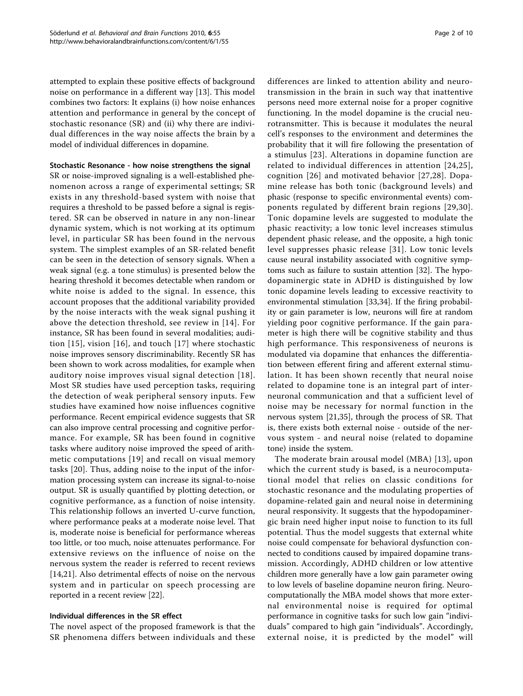attempted to explain these positive effects of background noise on performance in a different way [\[13\]](#page-7-0). This model combines two factors: It explains (i) how noise enhances attention and performance in general by the concept of stochastic resonance (SR) and (ii) why there are individual differences in the way noise affects the brain by a model of individual differences in dopamine.

#### Stochastic Resonance - how noise strengthens the signal

SR or noise-improved signaling is a well-established phenomenon across a range of experimental settings; SR exists in any threshold-based system with noise that requires a threshold to be passed before a signal is registered. SR can be observed in nature in any non-linear dynamic system, which is not working at its optimum level, in particular SR has been found in the nervous system. The simplest examples of an SR-related benefit can be seen in the detection of sensory signals. When a weak signal (e.g. a tone stimulus) is presented below the hearing threshold it becomes detectable when random or white noise is added to the signal. In essence, this account proposes that the additional variability provided by the noise interacts with the weak signal pushing it above the detection threshold, see review in [\[14\]](#page-7-0). For instance, SR has been found in several modalities; audition [[15](#page-7-0)], vision [[16\]](#page-8-0), and touch [[17](#page-8-0)] where stochastic noise improves sensory discriminability. Recently SR has been shown to work across modalities, for example when auditory noise improves visual signal detection [[18\]](#page-8-0). Most SR studies have used perception tasks, requiring the detection of weak peripheral sensory inputs. Few studies have examined how noise influences cognitive performance. Recent empirical evidence suggests that SR can also improve central processing and cognitive performance. For example, SR has been found in cognitive tasks where auditory noise improved the speed of arithmetic computations [[19](#page-8-0)] and recall on visual memory tasks [[20\]](#page-8-0). Thus, adding noise to the input of the information processing system can increase its signal-to-noise output. SR is usually quantified by plotting detection, or cognitive performance, as a function of noise intensity. This relationship follows an inverted U-curve function, where performance peaks at a moderate noise level. That is, moderate noise is beneficial for performance whereas too little, or too much, noise attenuates performance. For extensive reviews on the influence of noise on the nervous system the reader is referred to recent reviews [[14](#page-7-0)[,21](#page-8-0)]. Also detrimental effects of noise on the nervous system and in particular on speech processing are reported in a recent review [\[22\]](#page-8-0).

#### Individual differences in the SR effect

The novel aspect of the proposed framework is that the SR phenomena differs between individuals and these

differences are linked to attention ability and neurotransmission in the brain in such way that inattentive persons need more external noise for a proper cognitive functioning. In the model dopamine is the crucial neurotransmitter. This is because it modulates the neural cell's responses to the environment and determines the probability that it will fire following the presentation of a stimulus [[23\]](#page-8-0). Alterations in dopamine function are related to individual differences in attention [\[24,25\]](#page-8-0), cognition [\[26\]](#page-8-0) and motivated behavior [[27,28\]](#page-8-0). Dopamine release has both tonic (background levels) and phasic (response to specific environmental events) components regulated by different brain regions [[29,30\]](#page-8-0). Tonic dopamine levels are suggested to modulate the phasic reactivity; a low tonic level increases stimulus dependent phasic release, and the opposite, a high tonic level suppresses phasic release [[31](#page-8-0)]. Low tonic levels cause neural instability associated with cognitive symptoms such as failure to sustain attention [\[32\]](#page-8-0). The hypodopaminergic state in ADHD is distinguished by low tonic dopamine levels leading to excessive reactivity to environmental stimulation [[33,34\]](#page-8-0). If the firing probability or gain parameter is low, neurons will fire at random yielding poor cognitive performance. If the gain parameter is high there will be cognitive stability and thus high performance. This responsiveness of neurons is modulated via dopamine that enhances the differentiation between efferent firing and afferent external stimulation. It has been shown recently that neural noise related to dopamine tone is an integral part of interneuronal communication and that a sufficient level of noise may be necessary for normal function in the nervous system [[21](#page-8-0),[35\]](#page-8-0), through the process of SR. That is, there exists both external noise - outside of the nervous system - and neural noise (related to dopamine tone) inside the system.

The moderate brain arousal model (MBA) [\[13](#page-7-0)], upon which the current study is based, is a neurocomputational model that relies on classic conditions for stochastic resonance and the modulating properties of dopamine-related gain and neural noise in determining neural responsivity. It suggests that the hypodopaminergic brain need higher input noise to function to its full potential. Thus the model suggests that external white noise could compensate for behavioral dysfunction connected to conditions caused by impaired dopamine transmission. Accordingly, ADHD children or low attentive children more generally have a low gain parameter owing to low levels of baseline dopamine neuron firing. Neurocomputationally the MBA model shows that more external environmental noise is required for optimal performance in cognitive tasks for such low gain "individuals" compared to high gain "individuals". Accordingly, external noise, it is predicted by the model" will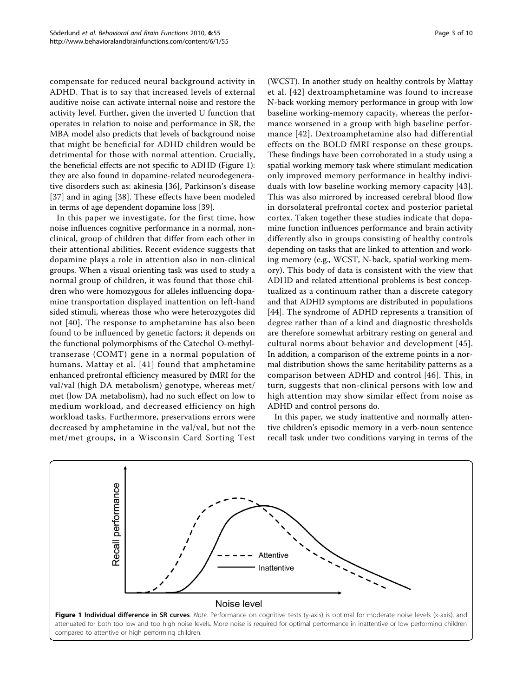compensate for reduced neural background activity in ADHD. That is to say that increased levels of external auditive noise can activate internal noise and restore the activity level. Further, given the inverted U function that operates in relation to noise and performance in SR, the MBA model also predicts that levels of background noise that might be beneficial for ADHD children would be detrimental for those with normal attention. Crucially, the beneficial effects are not specific to ADHD (Figure 1): they are also found in dopamine-related neurodegenerative disorders such as: akinesia [[36\]](#page-8-0), Parkinson's disease [[37](#page-8-0)] and in aging [[38](#page-8-0)]. These effects have been modeled in terms of age dependent dopamine loss [\[39](#page-8-0)].

In this paper we investigate, for the first time, how noise influences cognitive performance in a normal, nonclinical, group of children that differ from each other in their attentional abilities. Recent evidence suggests that dopamine plays a role in attention also in non-clinical groups. When a visual orienting task was used to study a normal group of children, it was found that those children who were homozygous for alleles influencing dopamine transportation displayed inattention on left-hand sided stimuli, whereas those who were heterozygotes did not [[40](#page-8-0)]. The response to amphetamine has also been found to be influenced by genetic factors; it depends on the functional polymorphisms of the Catechol O-methyltranserase (COMT) gene in a normal population of humans. Mattay et al. [[41\]](#page-8-0) found that amphetamine enhanced prefrontal efficiency measured by fMRI for the val/val (high DA metabolism) genotype, whereas met/ met (low DA metabolism), had no such effect on low to medium workload, and decreased efficiency on high workload tasks. Furthermore, preservations errors were decreased by amphetamine in the val/val, but not the met/met groups, in a Wisconsin Card Sorting Test (WCST). In another study on healthy controls by Mattay et al. [[42\]](#page-8-0) dextroamphetamine was found to increase N-back working memory performance in group with low baseline working-memory capacity, whereas the performance worsened in a group with high baseline performance [[42](#page-8-0)]. Dextroamphetamine also had differential effects on the BOLD fMRI response on these groups. These findings have been corroborated in a study using a spatial working memory task where stimulant medication only improved memory performance in healthy individuals with low baseline working memory capacity [[43](#page-8-0)]. This was also mirrored by increased cerebral blood flow in dorsolateral prefrontal cortex and posterior parietal cortex. Taken together these studies indicate that dopamine function influences performance and brain activity differently also in groups consisting of healthy controls depending on tasks that are linked to attention and working memory (e.g., WCST, N-back, spatial working memory). This body of data is consistent with the view that ADHD and related attentional problems is best conceptualized as a continuum rather than a discrete category and that ADHD symptoms are distributed in populations [[44](#page-8-0)]. The syndrome of ADHD represents a transition of degree rather than of a kind and diagnostic thresholds are therefore somewhat arbitrary resting on general and cultural norms about behavior and development [[45\]](#page-8-0). In addition, a comparison of the extreme points in a normal distribution shows the same heritability patterns as a comparison between ADHD and control [\[46\]](#page-8-0). This, in turn, suggests that non-clinical persons with low and high attention may show similar effect from noise as ADHD and control persons do.

In this paper, we study inattentive and normally attentive children's episodic memory in a verb-noun sentence recall task under two conditions varying in terms of the

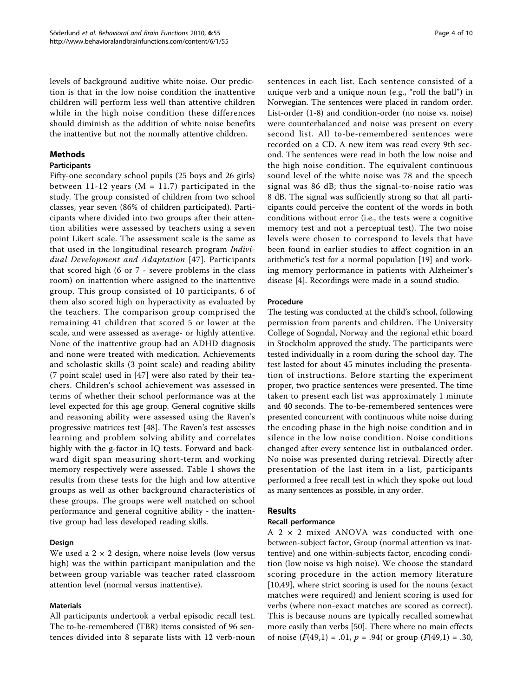levels of background auditive white noise. Our prediction is that in the low noise condition the inattentive children will perform less well than attentive children while in the high noise condition these differences should diminish as the addition of white noise benefits the inattentive but not the normally attentive children.

## Methods

#### Participants

Fifty-one secondary school pupils (25 boys and 26 girls) between 11-12 years ( $M = 11.7$ ) participated in the study. The group consisted of children from two school classes, year seven (86% of children participated). Participants where divided into two groups after their attention abilities were assessed by teachers using a seven point Likert scale. The assessment scale is the same as that used in the longitudinal research program Individual Development and Adaptation [[47\]](#page-8-0). Participants that scored high (6 or 7 - severe problems in the class room) on inattention where assigned to the inattentive group. This group consisted of 10 participants, 6 of them also scored high on hyperactivity as evaluated by the teachers. The comparison group comprised the remaining 41 children that scored 5 or lower at the scale, and were assessed as average- or highly attentive. None of the inattentive group had an ADHD diagnosis and none were treated with medication. Achievements and scholastic skills (3 point scale) and reading ability (7 point scale) used in [\[47](#page-8-0)] were also rated by their teachers. Children's school achievement was assessed in terms of whether their school performance was at the level expected for this age group. General cognitive skills and reasoning ability were assessed using the Raven's progressive matrices test [[48\]](#page-8-0). The Raven's test assesses learning and problem solving ability and correlates highly with the g-factor in IQ tests. Forward and backward digit span measuring short-term and working memory respectively were assessed. Table [1](#page-4-0) shows the results from these tests for the high and low attentive groups as well as other background characteristics of these groups. The groups were well matched on school performance and general cognitive ability - the inattentive group had less developed reading skills.

## Design

We used a  $2 \times 2$  design, where noise levels (low versus high) was the within participant manipulation and the between group variable was teacher rated classroom attention level (normal versus inattentive).

## Materials

All participants undertook a verbal episodic recall test. The to-be-remembered (TBR) items consisted of 96 sentences divided into 8 separate lists with 12 verb-noun sentences in each list. Each sentence consisted of a unique verb and a unique noun (e.g., "roll the ball") in Norwegian. The sentences were placed in random order. List-order (1-8) and condition-order (no noise vs. noise) were counterbalanced and noise was present on every second list. All to-be-remembered sentences were recorded on a CD. A new item was read every 9th second. The sentences were read in both the low noise and the high noise condition. The equivalent continuous sound level of the white noise was 78 and the speech signal was 86 dB; thus the signal-to-noise ratio was 8 dB. The signal was sufficiently strong so that all participants could perceive the content of the words in both conditions without error (i.e., the tests were a cognitive memory test and not a perceptual test). The two noise levels were chosen to correspond to levels that have been found in earlier studies to affect cognition in an arithmetic's test for a normal population [[19\]](#page-8-0) and working memory performance in patients with Alzheimer's disease [\[4](#page-7-0)]. Recordings were made in a sound studio.

## Procedure

The testing was conducted at the child's school, following permission from parents and children. The University College of Sogndal, Norway and the regional ethic board in Stockholm approved the study. The participants were tested individually in a room during the school day. The test lasted for about 45 minutes including the presentation of instructions. Before starting the experiment proper, two practice sentences were presented. The time taken to present each list was approximately 1 minute and 40 seconds. The to-be-remembered sentences were presented concurrent with continuous white noise during the encoding phase in the high noise condition and in silence in the low noise condition. Noise conditions changed after every sentence list in outbalanced order. No noise was presented during retrieval. Directly after presentation of the last item in a list, participants performed a free recall test in which they spoke out loud as many sentences as possible, in any order.

## Results

## Recall performance

A 2 × 2 mixed ANOVA was conducted with one between-subject factor, Group (normal attention vs inattentive) and one within-subjects factor, encoding condition (low noise vs high noise). We choose the standard scoring procedure in the action memory literature [[10](#page-7-0)[,49](#page-8-0)], where strict scoring is used for the nouns (exact matches were required) and lenient scoring is used for verbs (where non-exact matches are scored as correct). This is because nouns are typically recalled somewhat more easily than verbs [[50\]](#page-8-0). There where no main effects of noise  $(F(49,1) = .01, p = .94)$  or group  $(F(49,1) = .30,$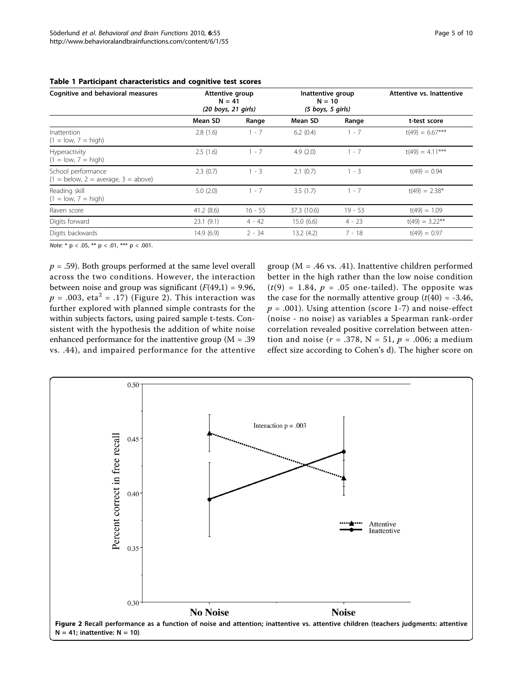| Cognitive and behavioral measures                           | Attentive group<br>$N = 41$<br>$(20 \text{ boys}, 21 \text{ girls})$ |           | Inattentive group<br>$N = 10$<br>$(5$ boys, 5 girls) |           | Attentive vs. Inattentive |  |
|-------------------------------------------------------------|----------------------------------------------------------------------|-----------|------------------------------------------------------|-----------|---------------------------|--|
|                                                             | Mean SD                                                              | Range     | Mean SD                                              | Range     | t-test score              |  |
| Inattention<br>$(1 = low, 7 = high)$                        | 2.8(1.6)                                                             | $1 - 7$   | 6.2(0.4)                                             | $1 - 7$   | $t(49) = 6.67***$         |  |
| <b>Hyperactivity</b><br>$(1 = low, 7 = high)$               | 2.5(1.6)                                                             | $1 - 7$   | 4.9(2.0)                                             | $1 - 7$   | $t(49) = 4.11***$         |  |
| School performance<br>$(1 =$ below, 2 = average, 3 = above) | 2.3(0.7)                                                             | $1 - 3$   | 2.1(0.7)                                             | $1 - 3$   | $t(49) = 0.94$            |  |
| Reading skill<br>$(1 = low, 7 = high)$                      | 5.0(2.0)                                                             | $1 - 7$   | 3.5(1.7)                                             | $1 - 7$   | $t(49) = 2.38*$           |  |
| Raven score                                                 | 41.2(8.6)                                                            | $16 - 55$ | 37.3 (10.6)                                          | $19 - 53$ | $t(49) = 1.09$            |  |
| Digits forward                                              | 23.1(9.1)                                                            | $4 - 42$  | 15.0(6.6)                                            | $4 - 23$  | $t(49) = 3.22**$          |  |
| Digits backwards                                            | 14.9(6.9)                                                            | $2 - 34$  | 13.2(4.2)                                            | $7 - 18$  | $t(49) = 0.97$            |  |

<span id="page-4-0"></span>

|  |  |  | Table 1 Participant characteristics and cognitive test scores |  |  |  |  |
|--|--|--|---------------------------------------------------------------|--|--|--|--|
|--|--|--|---------------------------------------------------------------|--|--|--|--|

Note: \* p < .05, \*\* p < .01, \*\*\* p < .001.

 $p = .59$ ). Both groups performed at the same level overall across the two conditions. However, the interaction between noise and group was significant  $(F(49,1) = 9.96,$  $p = .003$ , eta<sup>2</sup> = .17) (Figure 2). This interaction was further explored with planned simple contrasts for the within subjects factors, using paired sample t-tests. Consistent with the hypothesis the addition of white noise enhanced performance for the inattentive group  $(M = .39)$ vs. .44), and impaired performance for the attentive group ( $M = .46$  vs.  $.41$ ). Inattentive children performed better in the high rather than the low noise condition  $(t(9) = 1.84, p = .05$  one-tailed). The opposite was the case for the normally attentive group  $(t(40) = -3.46$ ,  $p = .001$ ). Using attention (score 1-7) and noise-effect (noise - no noise) as variables a Spearman rank-order correlation revealed positive correlation between attention and noise ( $r = .378$ ,  $N = 51$ ,  $p = .006$ ; a medium effect size according to Cohen's d). The higher score on

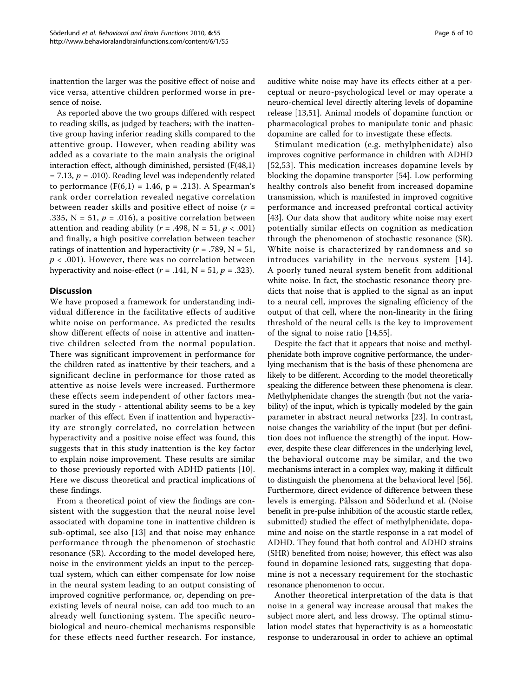inattention the larger was the positive effect of noise and vice versa, attentive children performed worse in presence of noise.

As reported above the two groups differed with respect to reading skills, as judged by teachers; with the inattentive group having inferior reading skills compared to the attentive group. However, when reading ability was added as a covariate to the main analysis the original interaction effect, although diminished, persisted (F(48,1)  $= 7.13, p = .010$ . Reading level was independently related to performance ( $F(6,1) = 1.46$ ,  $p = .213$ ). A Spearman's rank order correlation revealed negative correlation between reader skills and positive effect of noise  $(r =$ .335,  $N = 51$ ,  $p = .016$ ), a positive correlation between attention and reading ability ( $r = .498$ , N = 51,  $p < .001$ ) and finally, a high positive correlation between teacher ratings of inattention and hyperactivity ( $r = .789$ , N = 51,  $p < .001$ ). However, there was no correlation between hyperactivity and noise-effect ( $r = .141$ , N = 51,  $p = .323$ ).

#### **Discussion**

We have proposed a framework for understanding individual difference in the facilitative effects of auditive white noise on performance. As predicted the results show different effects of noise in attentive and inattentive children selected from the normal population. There was significant improvement in performance for the children rated as inattentive by their teachers, and a significant decline in performance for those rated as attentive as noise levels were increased. Furthermore these effects seem independent of other factors measured in the study - attentional ability seems to be a key marker of this effect. Even if inattention and hyperactivity are strongly correlated, no correlation between hyperactivity and a positive noise effect was found, this suggests that in this study inattention is the key factor to explain noise improvement. These results are similar to those previously reported with ADHD patients [[10](#page-7-0)]. Here we discuss theoretical and practical implications of these findings.

From a theoretical point of view the findings are consistent with the suggestion that the neural noise level associated with dopamine tone in inattentive children is sub-optimal, see also [[13](#page-7-0)] and that noise may enhance performance through the phenomenon of stochastic resonance (SR). According to the model developed here, noise in the environment yields an input to the perceptual system, which can either compensate for low noise in the neural system leading to an output consisting of improved cognitive performance, or, depending on preexisting levels of neural noise, can add too much to an already well functioning system. The specific neurobiological and neuro-chemical mechanisms responsible for these effects need further research. For instance, auditive white noise may have its effects either at a perceptual or neuro-psychological level or may operate a neuro-chemical level directly altering levels of dopamine release [\[13](#page-7-0)[,51](#page-8-0)]. Animal models of dopamine function or pharmacological probes to manipulate tonic and phasic dopamine are called for to investigate these effects.

Stimulant medication (e.g. methylphenidate) also improves cognitive performance in children with ADHD [[52](#page-8-0),[53\]](#page-8-0). This medication increases dopamine levels by blocking the dopamine transporter [\[54\]](#page-8-0). Low performing healthy controls also benefit from increased dopamine transmission, which is manifested in improved cognitive performance and increased prefrontal cortical activity [[43\]](#page-8-0). Our data show that auditory white noise may exert potentially similar effects on cognition as medication through the phenomenon of stochastic resonance (SR). White noise is characterized by randomness and so introduces variability in the nervous system [[14\]](#page-7-0). A poorly tuned neural system benefit from additional white noise. In fact, the stochastic resonance theory predicts that noise that is applied to the signal as an input to a neural cell, improves the signaling efficiency of the output of that cell, where the non-linearity in the firing threshold of the neural cells is the key to improvement of the signal to noise ratio [[14](#page-7-0),[55](#page-8-0)].

Despite the fact that it appears that noise and methylphenidate both improve cognitive performance, the underlying mechanism that is the basis of these phenomena are likely to be different. According to the model theoretically speaking the difference between these phenomena is clear. Methylphenidate changes the strength (but not the variability) of the input, which is typically modeled by the gain parameter in abstract neural networks [[23\]](#page-8-0). In contrast, noise changes the variability of the input (but per definition does not influence the strength) of the input. However, despite these clear differences in the underlying level, the behavioral outcome may be similar, and the two mechanisms interact in a complex way, making it difficult to distinguish the phenomena at the behavioral level [[56](#page-8-0)]. Furthermore, direct evidence of difference between these levels is emerging. Pålsson and Söderlund et al. (Noise benefit in pre-pulse inhibition of the acoustic startle reflex, submitted) studied the effect of methylphenidate, dopamine and noise on the startle response in a rat model of ADHD. They found that both control and ADHD strains (SHR) benefited from noise; however, this effect was also found in dopamine lesioned rats, suggesting that dopamine is not a necessary requirement for the stochastic resonance phenomenon to occur.

Another theoretical interpretation of the data is that noise in a general way increase arousal that makes the subject more alert, and less drowsy. The optimal stimulation model states that hyperactivity is as a homeostatic response to underarousal in order to achieve an optimal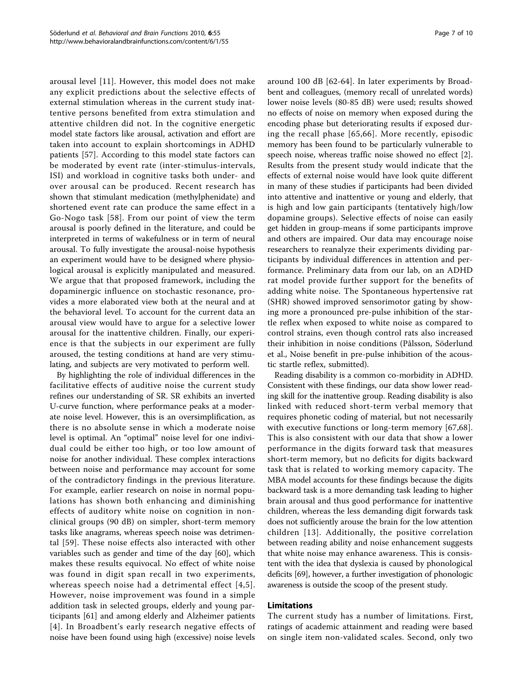arousal level [[11\]](#page-7-0). However, this model does not make any explicit predictions about the selective effects of external stimulation whereas in the current study inattentive persons benefited from extra stimulation and attentive children did not. In the cognitive energetic model state factors like arousal, activation and effort are taken into account to explain shortcomings in ADHD patients [\[57](#page-8-0)]. According to this model state factors can be moderated by event rate (inter-stimulus-intervals, ISI) and workload in cognitive tasks both under- and over arousal can be produced. Recent research has shown that stimulant medication (methylphenidate) and shortened event rate can produce the same effect in a Go-Nogo task [\[58\]](#page-8-0). From our point of view the term arousal is poorly defined in the literature, and could be interpreted in terms of wakefulness or in term of neural arousal. To fully investigate the arousal-noise hypothesis an experiment would have to be designed where physiological arousal is explicitly manipulated and measured. We argue that that proposed framework, including the dopaminergic influence on stochastic resonance, provides a more elaborated view both at the neural and at the behavioral level. To account for the current data an arousal view would have to argue for a selective lower arousal for the inattentive children. Finally, our experience is that the subjects in our experiment are fully aroused, the testing conditions at hand are very stimulating, and subjects are very motivated to perform well.

By highlighting the role of individual differences in the facilitative effects of auditive noise the current study refines our understanding of SR. SR exhibits an inverted U-curve function, where performance peaks at a moderate noise level. However, this is an oversimplification, as there is no absolute sense in which a moderate noise level is optimal. An "optimal" noise level for one individual could be either too high, or too low amount of noise for another individual. These complex interactions between noise and performance may account for some of the contradictory findings in the previous literature. For example, earlier research on noise in normal populations has shown both enhancing and diminishing effects of auditory white noise on cognition in nonclinical groups (90 dB) on simpler, short-term memory tasks like anagrams, whereas speech noise was detrimental [\[59\]](#page-8-0). These noise effects also interacted with other variables such as gender and time of the day [[60\]](#page-8-0), which makes these results equivocal. No effect of white noise was found in digit span recall in two experiments, whereas speech noise had a detrimental effect [[4,5\]](#page-7-0). However, noise improvement was found in a simple addition task in selected groups, elderly and young participants [[61\]](#page-8-0) and among elderly and Alzheimer patients [[4\]](#page-7-0). In Broadbent's early research negative effects of noise have been found using high (excessive) noise levels around 100 dB [[62-](#page-8-0)[64](#page-9-0)]. In later experiments by Broadbent and colleagues, (memory recall of unrelated words) lower noise levels (80-85 dB) were used; results showed no effects of noise on memory when exposed during the encoding phase but deteriorating results if exposed during the recall phase [[65,66\]](#page-9-0). More recently, episodic memory has been found to be particularly vulnerable to speech noise, whereas traffic noise showed no effect [\[2](#page-7-0)]. Results from the present study would indicate that the effects of external noise would have look quite different in many of these studies if participants had been divided into attentive and inattentive or young and elderly, that is high and low gain participants (tentatively high/low dopamine groups). Selective effects of noise can easily get hidden in group-means if some participants improve and others are impaired. Our data may encourage noise researchers to reanalyze their experiments dividing participants by individual differences in attention and performance. Preliminary data from our lab, on an ADHD rat model provide further support for the benefits of adding white noise. The Spontaneous hypertensive rat (SHR) showed improved sensorimotor gating by showing more a pronounced pre-pulse inhibition of the startle reflex when exposed to white noise as compared to control strains, even though control rats also increased their inhibition in noise conditions (Pålsson, Söderlund et al., Noise benefit in pre-pulse inhibition of the acoustic startle reflex, submitted).

Reading disability is a common co-morbidity in ADHD. Consistent with these findings, our data show lower reading skill for the inattentive group. Reading disability is also linked with reduced short-term verbal memory that requires phonetic coding of material, but not necessarily with executive functions or long-term memory [\[67,68](#page-9-0)]. This is also consistent with our data that show a lower performance in the digits forward task that measures short-term memory, but no deficits for digits backward task that is related to working memory capacity. The MBA model accounts for these findings because the digits backward task is a more demanding task leading to higher brain arousal and thus good performance for inattentive children, whereas the less demanding digit forwards task does not sufficiently arouse the brain for the low attention children [[13](#page-7-0)]. Additionally, the positive correlation between reading ability and noise enhancement suggests that white noise may enhance awareness. This is consistent with the idea that dyslexia is caused by phonological deficits [\[69\]](#page-9-0), however, a further investigation of phonologic awareness is outside the scoop of the present study.

#### Limitations

The current study has a number of limitations. First, ratings of academic attainment and reading were based on single item non-validated scales. Second, only two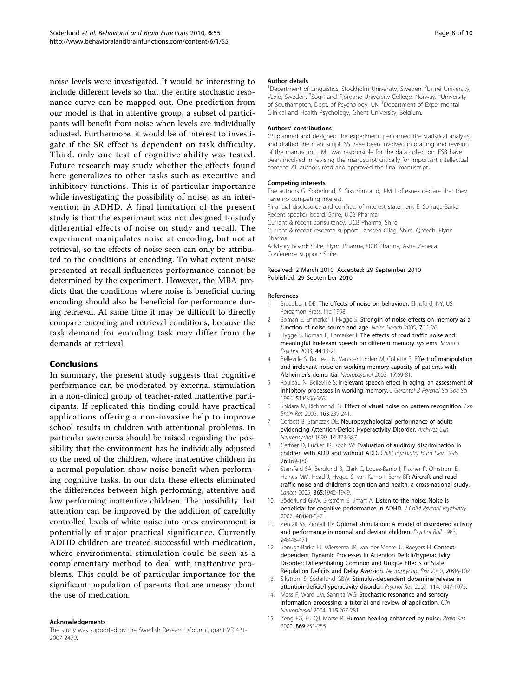<span id="page-7-0"></span>noise levels were investigated. It would be interesting to include different levels so that the entire stochastic resonance curve can be mapped out. One prediction from our model is that in attentive group, a subset of participants will benefit from noise when levels are individually adjusted. Furthermore, it would be of interest to investigate if the SR effect is dependent on task difficulty. Third, only one test of cognitive ability was tested. Future research may study whether the effects found here generalizes to other tasks such as executive and inhibitory functions. This is of particular importance while investigating the possibility of noise, as an intervention in ADHD. A final limitation of the present study is that the experiment was not designed to study differential effects of noise on study and recall. The experiment manipulates noise at encoding, but not at retrieval, so the effects of noise seen can only be attributed to the conditions at encoding. To what extent noise presented at recall influences performance cannot be determined by the experiment. However, the MBA predicts that the conditions where noise is beneficial during encoding should also be beneficial for performance during retrieval. At same time it may be difficult to directly compare encoding and retrieval conditions, because the task demand for encoding task may differ from the demands at retrieval.

## Conclusions

In summary, the present study suggests that cognitive performance can be moderated by external stimulation in a non-clinical group of teacher-rated inattentive participants. If replicated this finding could have practical applications offering a non-invasive help to improve school results in children with attentional problems. In particular awareness should be raised regarding the possibility that the environment has be individually adjusted to the need of the children, where inattentive children in a normal population show noise benefit when performing cognitive tasks. In our data these effects eliminated the differences between high performing, attentive and low performing inattentive children. The possibility that attention can be improved by the addition of carefully controlled levels of white noise into ones environment is potentially of major practical significance. Currently ADHD children are treated successful with medication, where environmental stimulation could be seen as a complementary method to deal with inattentive problems. This could be of particular importance for the significant population of parents that are uneasy about the use of medication.

#### Acknowledgements

The study was supported by the Swedish Research Council, grant VR 421- 2007-2479.

#### Author details

<sup>1</sup>Department of Linguistics, Stockholm University, Sweden. <sup>2</sup>Linné University Växjö, Sweden. <sup>3</sup>Sogn and Fjordane University College, Norway. <sup>4</sup>University of Southampton, Dept. of Psychology, UK. <sup>5</sup>Department of Experimental Clinical and Health Psychology, Ghent University, Belgium.

#### Authors' contributions

GS planned and designed the experiment, performed the statistical analysis and drafted the manuscript. SS have been involved in drafting and revision of the manuscript. LML was responsible for the data collection. ESB have been involved in revising the manuscript critically for important intellectual content. All authors read and approved the final manuscript.

#### Competing interests

The authors G. Söderlund, S. Sikström and, J-M. Loftesnes declare that they have no competing interest.

Financial disclosures and conflicts of interest statement E. Sonuga-Barke: Recent speaker board: Shire, UCB Pharma

Current & recent consultancy: UCB Pharma, Shire

Current & recent research support: Janssen Cilag, Shire, Qbtech, Flynn Pharma

Advisory Board: Shire, Flynn Pharma, UCB Pharma, Astra Zeneca Conference support: Shire

#### Received: 2 March 2010 Accepted: 29 September 2010 Published: 29 September 2010

#### References

- 1. Broadbent DE: The effects of noise on behaviour. Elmsford, NY, US: Pergamon Press, Inc 1958.
- 2. Boman E, Enmarker I, Hygge S: [Strength of noise effects on memory as a](http://www.ncbi.nlm.nih.gov/pubmed/16105246?dopt=Abstract) [function of noise source and age.](http://www.ncbi.nlm.nih.gov/pubmed/16105246?dopt=Abstract) Noise Health 2005, 7:11-26.
- 3. Hygge S, Boman E, Enmarker I: [The effects of road traffic noise and](http://www.ncbi.nlm.nih.gov/pubmed/12602999?dopt=Abstract) [meaningful irrelevant speech on different memory systems.](http://www.ncbi.nlm.nih.gov/pubmed/12602999?dopt=Abstract) Scand J Psychol 2003, 44:13-21.
- 4. Belleville S, Rouleau N, Van der Linden M, Collette F: Effect of manipulation and irrelevant noise on working memory capacity of patients with Alzheimer's dementia. Neuropsychol 2003, 17:69-81.
- 5. Rouleau N, Belleville S: [Irrelevant speech effect in aging: an assessment of](http://www.ncbi.nlm.nih.gov/pubmed/8931623?dopt=Abstract) [inhibitory processes in working memory.](http://www.ncbi.nlm.nih.gov/pubmed/8931623?dopt=Abstract) J Gerontol B Psychol Sci Soc Sci 1996, 51:P356-363.
- 6. Shidara M, Richmond BJ: [Effect of visual noise on pattern recognition.](http://www.ncbi.nlm.nih.gov/pubmed/15912370?dopt=Abstract) Exp Brain Res 2005, 163:239-241.
- 7. Corbett B, Stanczak DE: Neuropsychological performance of adults evidencing Attention-Deficit Hyperactivity Disorder. Archives Clin Neuropsychol 1999, 14:373-387.
- 8. Geffner D, Lucker JR, Koch W: [Evaluation of auditory discrimination in](http://www.ncbi.nlm.nih.gov/pubmed/8819879?dopt=Abstract) [children with ADD and without ADD.](http://www.ncbi.nlm.nih.gov/pubmed/8819879?dopt=Abstract) Child Psychiatry Hum Dev 1996, 26:169-180.
- 9. Stansfeld SA, Berglund B, Clark C, Lopez-Barrio I, Fischer P, Ohrstrom E, Haines MM, Head J, Hygge S, van Kamp I, Berry BF: [Aircraft and road](http://www.ncbi.nlm.nih.gov/pubmed/15936421?dopt=Abstract) traffic noise and children'[s cognition and health: a cross-national study.](http://www.ncbi.nlm.nih.gov/pubmed/15936421?dopt=Abstract) Lancet 2005, 365:1942-1949.
- 10. Söderlund GBW, Sikström S, Smart A: [Listen to the noise: Noise is](http://www.ncbi.nlm.nih.gov/pubmed/17683456?dopt=Abstract) [beneficial for cognitive performance in ADHD.](http://www.ncbi.nlm.nih.gov/pubmed/17683456?dopt=Abstract) J Child Psychol Psychiatry 2007, 48:840-847.
- 11. Zentall SS, Zentall TR: [Optimal stimulation: A model of disordered activity](http://www.ncbi.nlm.nih.gov/pubmed/6657825?dopt=Abstract) [and performance in normal and deviant children.](http://www.ncbi.nlm.nih.gov/pubmed/6657825?dopt=Abstract) Psychol Bull 1983, 94:446-471.
- 12. Sonuga-Barke EJ, Wiersema JR, van der Meere JJ, Roeyers H: [Context](http://www.ncbi.nlm.nih.gov/pubmed/19757075?dopt=Abstract)[dependent Dynamic Processes in Attention Deficit/Hyperactivity](http://www.ncbi.nlm.nih.gov/pubmed/19757075?dopt=Abstract) [Disorder: Differentiating Common and Unique Effects of State](http://www.ncbi.nlm.nih.gov/pubmed/19757075?dopt=Abstract) [Regulation Deficits and Delay Aversion.](http://www.ncbi.nlm.nih.gov/pubmed/19757075?dopt=Abstract) Neuropsychol Rev 2010, 20:86-102.
- 13. Sikström S, Söderlund GBW: [Stimulus-dependent dopamine release in](http://www.ncbi.nlm.nih.gov/pubmed/17907872?dopt=Abstract) [attention-deficit/hyperactivity disorder.](http://www.ncbi.nlm.nih.gov/pubmed/17907872?dopt=Abstract) Psychol Rev 2007, 114:1047-1075.
- 14. Moss F, Ward LM, Sannita WG: [Stochastic resonance and sensory](http://www.ncbi.nlm.nih.gov/pubmed/14744566?dopt=Abstract) [information processing: a tutorial and review of application.](http://www.ncbi.nlm.nih.gov/pubmed/14744566?dopt=Abstract) Clin Neurophysiol 2004, 115:267-281.
- 15. Zeng FG, Fu QJ, Morse R: [Human hearing enhanced by noise.](http://www.ncbi.nlm.nih.gov/pubmed/10865084?dopt=Abstract) Brain Res 2000, 869:251-255.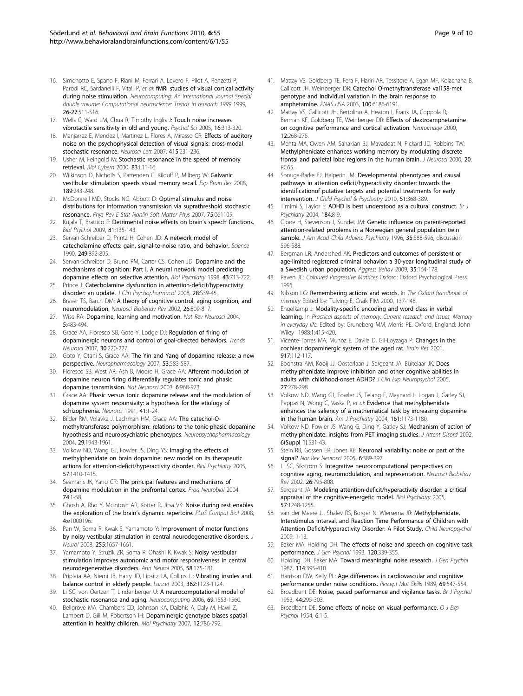- <span id="page-8-0"></span>16. Simonotto E, Spano F, Riani M, Ferrari A, Levero F, Pilot A, Renzetti P, Parodi RC, Sardanelli F, Vitali P, et al: fMRI studies of visual cortical activity during noise stimulation. Neurocomputing: An International Journal Special double volume: Computational neuroscience: Trends in research 1999 1999, 26-27:511-516.
- 17. Wells C, Ward LM, Chua R, Timothy Inglis J: [Touch noise increases](http://www.ncbi.nlm.nih.gov/pubmed/15828979?dopt=Abstract) [vibrotactile sensitivity in old and young.](http://www.ncbi.nlm.nih.gov/pubmed/15828979?dopt=Abstract) Psychol Sci 2005, 16:313-320.
- 18. Manjarrez E, Mendez I, Martinez L, Flores A, Mirasso CR: [Effects of auditory](http://www.ncbi.nlm.nih.gov/pubmed/17276601?dopt=Abstract) [noise on the psychophysical detection of visual signals: cross-modal](http://www.ncbi.nlm.nih.gov/pubmed/17276601?dopt=Abstract) [stochastic resonance.](http://www.ncbi.nlm.nih.gov/pubmed/17276601?dopt=Abstract) Neurosci Lett 2007, 415:231-236.
- 19. Usher M, Feingold M: [Stochastic resonance in the speed of memory](http://www.ncbi.nlm.nih.gov/pubmed/11130587?dopt=Abstract) [retrieval.](http://www.ncbi.nlm.nih.gov/pubmed/11130587?dopt=Abstract) Biol Cybern 2000, 83:L11-16.
- 20. Wilkinson D, Nicholls S, Pattenden C, Kilduff P, Milberg W: [Galvanic](http://www.ncbi.nlm.nih.gov/pubmed/18584162?dopt=Abstract) [vestibular stimulation speeds visual memory recall.](http://www.ncbi.nlm.nih.gov/pubmed/18584162?dopt=Abstract) Exp Brain Res 2008, 189:243-248.
- 21. McDonnell MD, Stocks NG, Abbott D: [Optimal stimulus and noise](http://www.ncbi.nlm.nih.gov/pubmed/17677218?dopt=Abstract) [distributions for information transmission via suprathreshold stochastic](http://www.ncbi.nlm.nih.gov/pubmed/17677218?dopt=Abstract) [resonance.](http://www.ncbi.nlm.nih.gov/pubmed/17677218?dopt=Abstract) Phys Rev E Stat Nonlin Soft Matter Phys 2007, 75:061105.
- 22. Kujala T, Brattico E: [Detrimental noise effects on brain](http://www.ncbi.nlm.nih.gov/pubmed/19482230?dopt=Abstract)'s speech functions. Biol Psychol 2009, 81:135-143.
- 23. Servan-Schreiber D, Printz H, Cohen JD: [A network model of](http://www.ncbi.nlm.nih.gov/pubmed/2392679?dopt=Abstract) [catecholamine effects: gain, signal-to-noise ratio, and behavior.](http://www.ncbi.nlm.nih.gov/pubmed/2392679?dopt=Abstract) Science 1990, 249:892-895.
- 24. Servan-Schreiber D, Bruno RM, Carter CS, Cohen JD: [Dopamine and the](http://www.ncbi.nlm.nih.gov/pubmed/9606524?dopt=Abstract) [mechanisms of cognition: Part I. A neural network model predicting](http://www.ncbi.nlm.nih.gov/pubmed/9606524?dopt=Abstract) [dopamine effects on selective attention.](http://www.ncbi.nlm.nih.gov/pubmed/9606524?dopt=Abstract) Biol Psychiatry 1998, 43:713-722.
- 25. Prince J: [Catecholamine dysfunction in attention-deficit/hyperactivity](http://www.ncbi.nlm.nih.gov/pubmed/18480676?dopt=Abstract) [disorder: an update.](http://www.ncbi.nlm.nih.gov/pubmed/18480676?dopt=Abstract) J Clin Psychopharmacol 2008, 28:S39-45.
- 26. Braver TS, Barch DM: [A theory of cognitive control, aging cognition, and](http://www.ncbi.nlm.nih.gov/pubmed/12470692?dopt=Abstract) [neuromodulation.](http://www.ncbi.nlm.nih.gov/pubmed/12470692?dopt=Abstract) Neurosci Biobehav Rev 2002, 26:809-817.
- 27. Wise RA: [Dopamine, learning and motivation.](http://www.ncbi.nlm.nih.gov/pubmed/15152198?dopt=Abstract) Nat Rev Neurosci 2004, 5:483-494.
- 28. Grace AA, Floresco SB, Goto Y, Lodge DJ: [Regulation of firing of](http://www.ncbi.nlm.nih.gov/pubmed/17400299?dopt=Abstract) [dopaminergic neurons and control of goal-directed behaviors.](http://www.ncbi.nlm.nih.gov/pubmed/17400299?dopt=Abstract) Trends Neurosci 2007, 30:220-227.
- 29. Goto Y, Otani S, Grace AA: [The Yin and Yang of dopamine release: a new](http://www.ncbi.nlm.nih.gov/pubmed/17709119?dopt=Abstract) [perspective.](http://www.ncbi.nlm.nih.gov/pubmed/17709119?dopt=Abstract) Neuropharmacology 2007, 53:583-587.
- 30. Floresco SB, West AR, Ash B, Moore H, Grace AA: [Afferent modulation of](http://www.ncbi.nlm.nih.gov/pubmed/12897785?dopt=Abstract) [dopamine neuron firing differentially regulates tonic and phasic](http://www.ncbi.nlm.nih.gov/pubmed/12897785?dopt=Abstract) [dopamine transmission.](http://www.ncbi.nlm.nih.gov/pubmed/12897785?dopt=Abstract) Nat Neurosci 2003, 6:968-973.
- 31. Grace AA: Phasic versus tonic dopamine release and the modulation of dopamine system responsivity: a hypothesis for the etiology of schizophrenia. Neurosci 1991, 41:1-24.
- 32. Bilder RM, Volavka J, Lachman HM, Grace AA: [The catechol-O](http://www.ncbi.nlm.nih.gov/pubmed/15305167?dopt=Abstract)[methyltransferase polymorphism: relations to the tonic-phasic dopamine](http://www.ncbi.nlm.nih.gov/pubmed/15305167?dopt=Abstract) [hypothesis and neuropsychiatric phenotypes.](http://www.ncbi.nlm.nih.gov/pubmed/15305167?dopt=Abstract) Neuropsychopharmacology 2004, 29:1943-1961.
- 33. Volkow ND, Wang GJ, Fowler JS, Ding YS: [Imaging the effects of](http://www.ncbi.nlm.nih.gov/pubmed/15950015?dopt=Abstract) [methylphenidate on brain dopamine: new model on its therapeutic](http://www.ncbi.nlm.nih.gov/pubmed/15950015?dopt=Abstract) [actions for attention-deficit/hyperactivity disorder.](http://www.ncbi.nlm.nih.gov/pubmed/15950015?dopt=Abstract) Biol Psychiatry 2005, 57:1410-1415.
- 34. Seamans JK, Yang CR: [The principal features and mechanisms of](http://www.ncbi.nlm.nih.gov/pubmed/15381316?dopt=Abstract) [dopamine modulation in the prefrontal cortex.](http://www.ncbi.nlm.nih.gov/pubmed/15381316?dopt=Abstract) Prog Neurobiol 2004, 74:1-58.
- 35. Ghosh A, Rho Y, McIntosh AR, Kotter R, Jirsa VK: [Noise during rest enables](http://www.ncbi.nlm.nih.gov/pubmed/18846206?dopt=Abstract) [the exploration of the brain](http://www.ncbi.nlm.nih.gov/pubmed/18846206?dopt=Abstract)'s dynamic repertoire. PLoS Comput Biol 2008, 4:e1000196.
- 36. Pan W, Soma R, Kwak S, Yamamoto Y: [Improvement of motor functions](http://www.ncbi.nlm.nih.gov/pubmed/18677633?dopt=Abstract) [by noisy vestibular stimulation in central neurodegenerative disorders.](http://www.ncbi.nlm.nih.gov/pubmed/18677633?dopt=Abstract) J Neurol 2008, 255:1657-1661.
- 37. Yamamoto Y, Struzik ZR, Soma R, Ohashi K, Kwak S: [Noisy vestibular](http://www.ncbi.nlm.nih.gov/pubmed/16049932?dopt=Abstract) [stimulation improves autonomic and motor responsiveness in central](http://www.ncbi.nlm.nih.gov/pubmed/16049932?dopt=Abstract) [neurodegenerative disorders.](http://www.ncbi.nlm.nih.gov/pubmed/16049932?dopt=Abstract) Ann Neurol 2005, 58:175-181.
- 38. Priplata AA, Niemi JB, Harry JD, Lipsitz LA, Collins JJ: [Vibrating insoles and](http://www.ncbi.nlm.nih.gov/pubmed/14550702?dopt=Abstract) [balance control in elderly people.](http://www.ncbi.nlm.nih.gov/pubmed/14550702?dopt=Abstract) Lancet 2003, 362:1123-1124.
- 39. Li SC, von Oertzen T, Lindenberger U: A neurocomputational model of stochastic resonance and aging. Neurocomputing 2006, 69:1553-1560.
- 40. Bellgrove MA, Chambers CD, Johnson KA, Daibhis A, Daly M, Hawi Z, Lambert D, Gill M, Robertson IH: [Dopaminergic genotype biases spatial](http://www.ncbi.nlm.nih.gov/pubmed/17549062?dopt=Abstract) [attention in healthy children.](http://www.ncbi.nlm.nih.gov/pubmed/17549062?dopt=Abstract) Mol Psychiatry 2007, 12:786-792.
- 41. Mattay VS, Goldberg TE, Fera F, Hariri AR, Tessitore A, Egan MF, Kolachana B, Callicott JH, Weinberger DR: [Catechol O-methyltransferase val158-met](http://www.ncbi.nlm.nih.gov/pubmed/12716966?dopt=Abstract) [genotype and individual variation in the brain response to](http://www.ncbi.nlm.nih.gov/pubmed/12716966?dopt=Abstract) [amphetamine.](http://www.ncbi.nlm.nih.gov/pubmed/12716966?dopt=Abstract) PNAS USA 2003, 100:6186-6191.
- 42. Mattay VS, Callicott JH, Bertolino A, Heaton I, Frank JA, Coppola R, Berman KF, Goldberg TE, Weinberger DR: [Effects of dextroamphetamine](http://www.ncbi.nlm.nih.gov/pubmed/10944409?dopt=Abstract) [on cognitive performance and cortical activation.](http://www.ncbi.nlm.nih.gov/pubmed/10944409?dopt=Abstract) Neuroimage 2000, 12:268-275.
- 43. Mehta MA, Owen AM, Sahakian BJ, Mavaddat N, Pickard JD, Robbins TW: [Methylphenidate enhances working memory by modulating discrete](http://www.ncbi.nlm.nih.gov/pubmed/10704519?dopt=Abstract) [frontal and parietal lobe regions in the human brain.](http://www.ncbi.nlm.nih.gov/pubmed/10704519?dopt=Abstract) *J Neurosci* 2000, 20: RC65.
- 44. Sonuga-Barke EJ, Halperin JM: Developmental phenotypes and causal pathways in attention deficit/hyperactivity disorder: towards the identificationof putative targets and potential treatments for early intervention. J Child Psychol & Psychiatry 2010, 51:368-389.
- 45. Timimi S, Taylor E: [ADHD is best understood as a cultural construct.](http://www.ncbi.nlm.nih.gov/pubmed/14702221?dopt=Abstract) Br J Psychiatry 2004, 184:8-9.
- 46. Gjone H, Stevenson J, Sundet JM: [Genetic influence on parent-reported](http://www.ncbi.nlm.nih.gov/pubmed/8935205?dopt=Abstract) [attention-related problems in a Norwegian general population twin](http://www.ncbi.nlm.nih.gov/pubmed/8935205?dopt=Abstract) [sample.](http://www.ncbi.nlm.nih.gov/pubmed/8935205?dopt=Abstract) J Am Acad Child Adolesc Psychiatry 1996, 35:588-596, discussion 596-588.
- 47. Bergman LR, Andershed AK: [Predictors and outcomes of persistent or](http://www.ncbi.nlm.nih.gov/pubmed/19177554?dopt=Abstract) [age-limited registered criminal behavior: a 30-year longitudinal study of](http://www.ncbi.nlm.nih.gov/pubmed/19177554?dopt=Abstract) [a Swedish urban population.](http://www.ncbi.nlm.nih.gov/pubmed/19177554?dopt=Abstract) Agaress Behav 2009, 35:164-178.
- 48. Raven JC: Coloured Progressive Matrices Oxford: Oxford Psychological Press 1995.
- 49. Nilsson LG: Remembering actions and words. In The Oxford handbook of memory Edited by: Tulving E, Craik FIM 2000, 137-148.
- 50. Engelkamp J: Modality-specific encoding and word class in verbal learning. In Practical aspects of memory: Current research and issues, Memory in everyday life. Edited by: Gruneberg MM, Morris PE. Oxford, England: John Wiley 1988:1:415-420.
- 51. Vicente-Torres MA, Munoz E, Davila D, Gil-Loyzaga P: [Changes in the](http://www.ncbi.nlm.nih.gov/pubmed/11602235?dopt=Abstract) [cochlear dopaminergic system of the aged rat.](http://www.ncbi.nlm.nih.gov/pubmed/11602235?dopt=Abstract) Brain Res 2001, 917:112-117.
- 52. Boonstra AM, Kooij JJ, Oosterlaan J, Sergeant JA, Buitelaar JK: [Does](http://www.ncbi.nlm.nih.gov/pubmed/15969353?dopt=Abstract) [methylphenidate improve inhibition and other cognitive abilities in](http://www.ncbi.nlm.nih.gov/pubmed/15969353?dopt=Abstract) [adults with childhood-onset ADHD?](http://www.ncbi.nlm.nih.gov/pubmed/15969353?dopt=Abstract) J Clin Exp Neuropsychol 2005, 27:278-298.
- 53. Volkow ND, Wang GJ, Fowler JS, Telang F, Maynard L, Logan J, Gatley SJ, Pappas N, Wong C, Vaska P, et al: [Evidence that methylphenidate](http://www.ncbi.nlm.nih.gov/pubmed/15229048?dopt=Abstract) [enhances the saliency of a mathematical task by increasing dopamine](http://www.ncbi.nlm.nih.gov/pubmed/15229048?dopt=Abstract) [in the human brain.](http://www.ncbi.nlm.nih.gov/pubmed/15229048?dopt=Abstract) Am J Psychiatry 2004, 161:1173-1180.
- 54. Volkow ND, Fowler JS, Wang G, Ding Y, Gatley SJ: Mechanism of action of methylphenidate: insights from PET imaging studies. J Attent Disord 2002, 6(Suppl 1):S31-43.
- 55. Stein RB, Gossen ER, Jones KE: [Neuronal variability: noise or part of the](http://www.ncbi.nlm.nih.gov/pubmed/15861181?dopt=Abstract) [signal?](http://www.ncbi.nlm.nih.gov/pubmed/15861181?dopt=Abstract) Nat Rev Neurosci 2005, 6:389-397.
- 56. Li SC, Sikström S: [Integrative neurocomputational perspectives on](http://www.ncbi.nlm.nih.gov/pubmed/12470691?dopt=Abstract) [cognitive aging, neuromodulation, and representation.](http://www.ncbi.nlm.nih.gov/pubmed/12470691?dopt=Abstract) Neurosci Biobehav Rev 2002, 26:795-808.
- 57. Sergeant JA: [Modeling attention-deficit/hyperactivity disorder: a critical](http://www.ncbi.nlm.nih.gov/pubmed/15949995?dopt=Abstract) [appraisal of the cognitive-energetic model.](http://www.ncbi.nlm.nih.gov/pubmed/15949995?dopt=Abstract) Biol Psychiatry 2005, 57:1248-1255.
- 58. van der Meere JJ, Shalev RS, Borger N, Wiersema JR: [Methylphenidate,](http://www.ncbi.nlm.nih.gov/pubmed/19296298?dopt=Abstract) [Interstimulus Interval, and Reaction Time Performance of Children with](http://www.ncbi.nlm.nih.gov/pubmed/19296298?dopt=Abstract) [Attention Deficit/Hyperactivity Disorder: A Pilot Study.](http://www.ncbi.nlm.nih.gov/pubmed/19296298?dopt=Abstract) Child Neuropsychol 2009, 1-13.
- 59. Baker MA, Holding DH: [The effects of noise and speech on cognitive task](http://www.ncbi.nlm.nih.gov/pubmed/8138798?dopt=Abstract) [performance.](http://www.ncbi.nlm.nih.gov/pubmed/8138798?dopt=Abstract) J Gen Psychol 1993, 120:339-355.
- 60. Holding DH, Baker MA: [Toward meaningful noise research.](http://www.ncbi.nlm.nih.gov/pubmed/3323419?dopt=Abstract) J Gen Psychol 1987, 114:395-410.
- 61. Harrison DW, Kelly PL: [Age differences in cardiovascular and cognitive](http://www.ncbi.nlm.nih.gov/pubmed/2813002?dopt=Abstract) [performance under noise conditions.](http://www.ncbi.nlm.nih.gov/pubmed/2813002?dopt=Abstract) Percept Mot Skills 1989, 69:547-554.
- 62. Broadbent DE: [Noise, paced performance and vigilance tasks.](http://www.ncbi.nlm.nih.gov/pubmed/13106269?dopt=Abstract) Br J Psychol 1953, 44:295-303.
- 63. Broadbent DE: Some effects of noise on visual performance. Q J Exp Psychol 1954, 6:1-5.